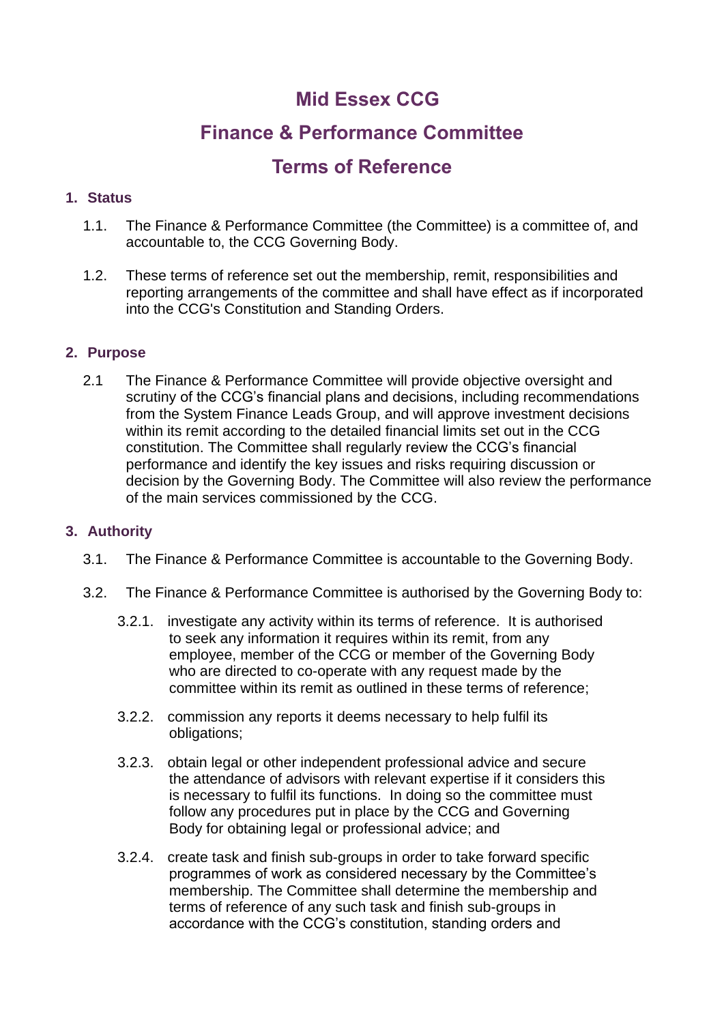# **Mid Essex CCG**

# **Finance & Performance Committee**

# **Terms of Reference**

# **1. Status**

- 1.1. The Finance & Performance Committee (the Committee) is a committee of, and accountable to, the CCG Governing Body.
- 1.2. These terms of reference set out the membership, remit, responsibilities and reporting arrangements of the committee and shall have effect as if incorporated into the CCG's Constitution and Standing Orders.

# **2. Purpose**

2.1 The Finance & Performance Committee will provide objective oversight and scrutiny of the CCG's financial plans and decisions, including recommendations from the System Finance Leads Group, and will approve investment decisions within its remit according to the detailed financial limits set out in the CCG constitution. The Committee shall regularly review the CCG's financial performance and identify the key issues and risks requiring discussion or decision by the Governing Body. The Committee will also review the performance of the main services commissioned by the CCG.

#### **3. Authority**

- 3.1. The Finance & Performance Committee is accountable to the Governing Body.
- 3.2. The Finance & Performance Committee is authorised by the Governing Body to:
	- 3.2.1. investigate any activity within its terms of reference. It is authorised to seek any information it requires within its remit, from any employee, member of the CCG or member of the Governing Body who are directed to co-operate with any request made by the committee within its remit as outlined in these terms of reference;
	- 3.2.2. commission any reports it deems necessary to help fulfil its obligations;
	- 3.2.3. obtain legal or other independent professional advice and secure the attendance of advisors with relevant expertise if it considers this is necessary to fulfil its functions. In doing so the committee must follow any procedures put in place by the CCG and Governing Body for obtaining legal or professional advice; and
	- 3.2.4. create task and finish sub-groups in order to take forward specific programmes of work as considered necessary by the Committee's membership. The Committee shall determine the membership and terms of reference of any such task and finish sub-groups in accordance with the CCG's constitution, standing orders and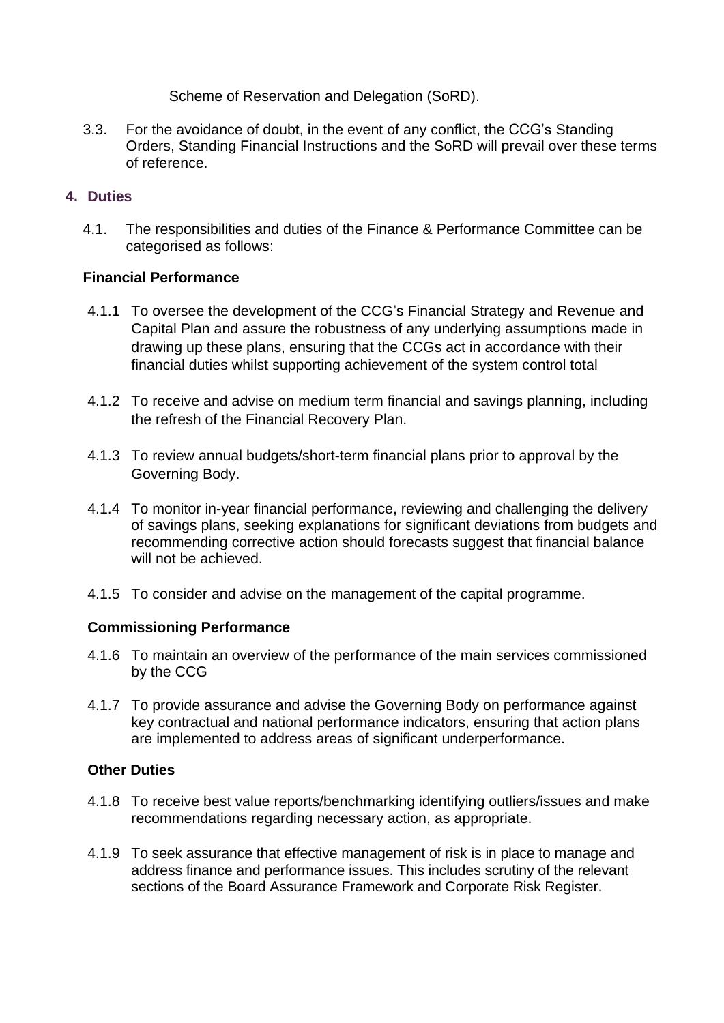Scheme of Reservation and Delegation (SoRD).

3.3. For the avoidance of doubt, in the event of any conflict, the CCG's Standing Orders, Standing Financial Instructions and the SoRD will prevail over these terms of reference.

## **4. Duties**

4.1. The responsibilities and duties of the Finance & Performance Committee can be categorised as follows:

## **Financial Performance**

- 4.1.1 To oversee the development of the CCG's Financial Strategy and Revenue and Capital Plan and assure the robustness of any underlying assumptions made in drawing up these plans, ensuring that the CCGs act in accordance with their financial duties whilst supporting achievement of the system control total
- 4.1.2 To receive and advise on medium term financial and savings planning, including the refresh of the Financial Recovery Plan.
- 4.1.3 To review annual budgets/short-term financial plans prior to approval by the Governing Body.
- 4.1.4 To monitor in-year financial performance, reviewing and challenging the delivery of savings plans, seeking explanations for significant deviations from budgets and recommending corrective action should forecasts suggest that financial balance will not be achieved.
- 4.1.5 To consider and advise on the management of the capital programme.

#### **Commissioning Performance**

- 4.1.6 To maintain an overview of the performance of the main services commissioned by the CCG
- 4.1.7 To provide assurance and advise the Governing Body on performance against key contractual and national performance indicators, ensuring that action plans are implemented to address areas of significant underperformance.

### **Other Duties**

- 4.1.8 To receive best value reports/benchmarking identifying outliers/issues and make recommendations regarding necessary action, as appropriate.
- 4.1.9 To seek assurance that effective management of risk is in place to manage and address finance and performance issues. This includes scrutiny of the relevant sections of the Board Assurance Framework and Corporate Risk Register.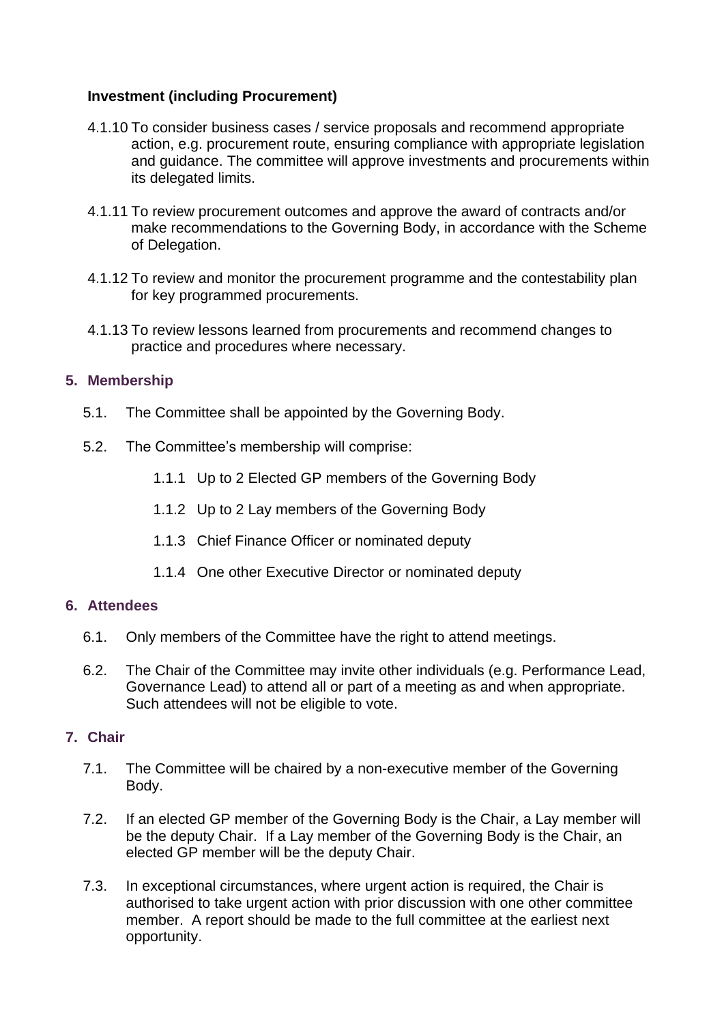## **Investment (including Procurement)**

- 4.1.10 To consider business cases / service proposals and recommend appropriate action, e.g. procurement route, ensuring compliance with appropriate legislation and guidance. The committee will approve investments and procurements within its delegated limits.
- 4.1.11 To review procurement outcomes and approve the award of contracts and/or make recommendations to the Governing Body, in accordance with the Scheme of Delegation.
- 4.1.12 To review and monitor the procurement programme and the contestability plan for key programmed procurements.
- 4.1.13 To review lessons learned from procurements and recommend changes to practice and procedures where necessary.

## **5. Membership**

- 5.1. The Committee shall be appointed by the Governing Body.
- 5.2. The Committee's membership will comprise:
	- 1.1.1 Up to 2 Elected GP members of the Governing Body
	- 1.1.2 Up to 2 Lay members of the Governing Body
	- 1.1.3 Chief Finance Officer or nominated deputy
	- 1.1.4 One other Executive Director or nominated deputy

### **6. Attendees**

- 6.1. Only members of the Committee have the right to attend meetings.
- 6.2. The Chair of the Committee may invite other individuals (e.g. Performance Lead, Governance Lead) to attend all or part of a meeting as and when appropriate. Such attendees will not be eligible to vote.

#### **7. Chair**

- 7.1. The Committee will be chaired by a non-executive member of the Governing Body.
- 7.2. If an elected GP member of the Governing Body is the Chair, a Lay member will be the deputy Chair. If a Lay member of the Governing Body is the Chair, an elected GP member will be the deputy Chair.
- 7.3. In exceptional circumstances, where urgent action is required, the Chair is authorised to take urgent action with prior discussion with one other committee member. A report should be made to the full committee at the earliest next opportunity.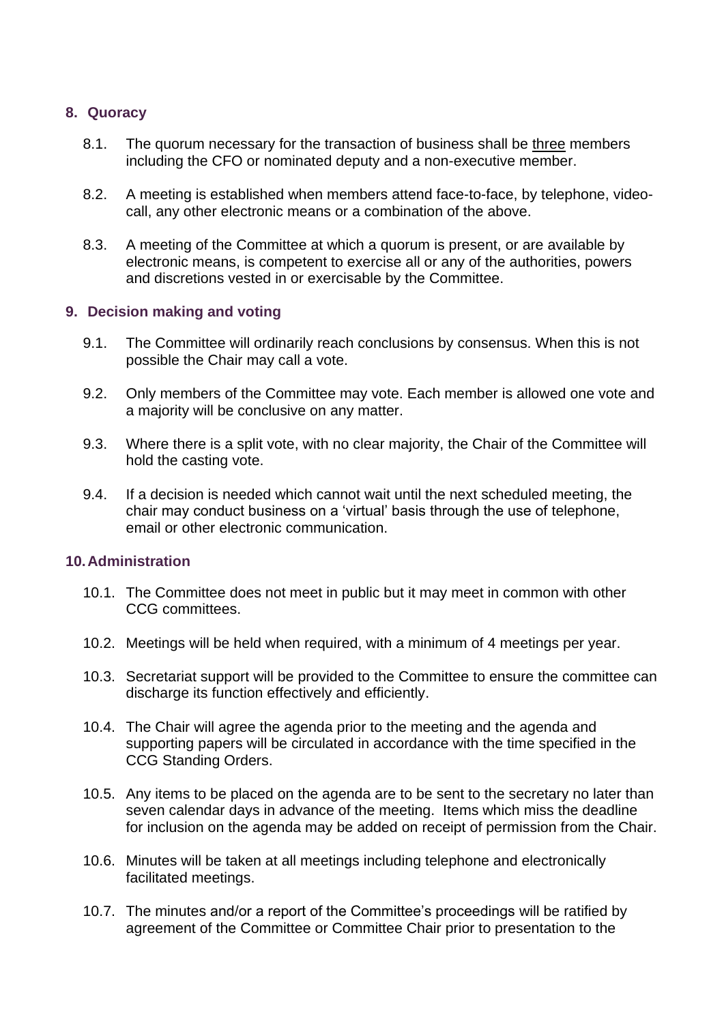### **8. Quoracy**

- 8.1. The quorum necessary for the transaction of business shall be three members including the CFO or nominated deputy and a non-executive member.
- 8.2. A meeting is established when members attend face-to-face, by telephone, videocall, any other electronic means or a combination of the above.
- 8.3. A meeting of the Committee at which a quorum is present, or are available by electronic means, is competent to exercise all or any of the authorities, powers and discretions vested in or exercisable by the Committee.

## **9. Decision making and voting**

- 9.1. The Committee will ordinarily reach conclusions by consensus. When this is not possible the Chair may call a vote.
- 9.2. Only members of the Committee may vote. Each member is allowed one vote and a majority will be conclusive on any matter.
- 9.3. Where there is a split vote, with no clear majority, the Chair of the Committee will hold the casting vote.
- 9.4. If a decision is needed which cannot wait until the next scheduled meeting, the chair may conduct business on a 'virtual' basis through the use of telephone, email or other electronic communication.

#### **10.Administration**

- 10.1. The Committee does not meet in public but it may meet in common with other CCG committees.
- 10.2. Meetings will be held when required, with a minimum of 4 meetings per year.
- 10.3. Secretariat support will be provided to the Committee to ensure the committee can discharge its function effectively and efficiently.
- 10.4. The Chair will agree the agenda prior to the meeting and the agenda and supporting papers will be circulated in accordance with the time specified in the CCG Standing Orders.
- 10.5. Any items to be placed on the agenda are to be sent to the secretary no later than seven calendar days in advance of the meeting. Items which miss the deadline for inclusion on the agenda may be added on receipt of permission from the Chair.
- 10.6. Minutes will be taken at all meetings including telephone and electronically facilitated meetings.
- 10.7. The minutes and/or a report of the Committee's proceedings will be ratified by agreement of the Committee or Committee Chair prior to presentation to the